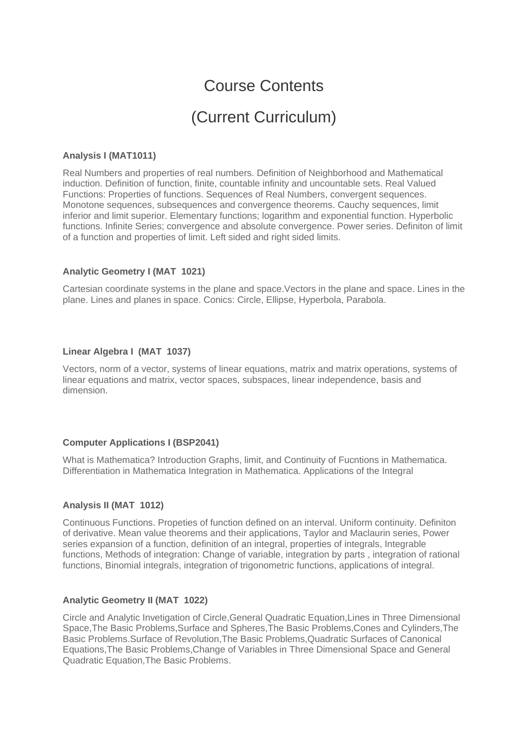# Course Contents

# (Current Curriculum)

# **Analysis I (MAT1011)**

Real Numbers and properties of real numbers. Definition of Neighborhood and Mathematical induction. Definition of function, finite, countable infinity and uncountable sets. Real Valued Functions: Properties of functions. Sequences of Real Numbers, convergent sequences. Monotone sequences, subsequences and convergence theorems. Cauchy sequences, limit inferior and limit superior. Elementary functions; logarithm and exponential function. Hyperbolic functions. Infinite Series; convergence and absolute convergence. Power series. Definiton of limit of a function and properties of limit. Left sided and right sided limits.

# **Analytic Geometry I (MAT 1021)**

Cartesian coordinate systems in the plane and space.Vectors in the plane and space. Lines in the plane. Lines and planes in space. Conics: Circle, Ellipse, Hyperbola, Parabola.

# **Linear Algebra I (MAT 1037)**

Vectors, norm of a vector, systems of linear equations, matrix and matrix operations, systems of linear equations and matrix, vector spaces, subspaces, linear independence, basis and dimension.

# **Computer Applications I (BSP2041)**

What is Mathematica? Introduction Graphs, limit, and Continuity of Fucntions in Mathematica. Differentiation in Mathematica Integration in Mathematica. Applications of the Integral

# **Analysis II (MAT 1012)**

Continuous Functions. Propeties of function defined on an interval. Uniform continuity. Definiton of derivative. Mean value theorems and their applications, Taylor and Maclaurin series, Power series expansion of a function, definition of an integral, properties of integrals, Integrable functions, Methods of integration: Change of variable, integration by parts , integration of rational functions, Binomial integrals, integration of trigonometric functions, applications of integral.

# **Analytic Geometry II (MAT 1022)**

Circle and Analytic Invetigation of Circle,General Quadratic Equation,Lines in Three Dimensional Space,The Basic Problems,Surface and Spheres,The Basic Problems,Cones and Cylinders,The Basic Problems.Surface of Revolution,The Basic Problems,Quadratic Surfaces of Canonical Equations,The Basic Problems,Change of Variables in Three Dimensional Space and General Quadratic Equation,The Basic Problems.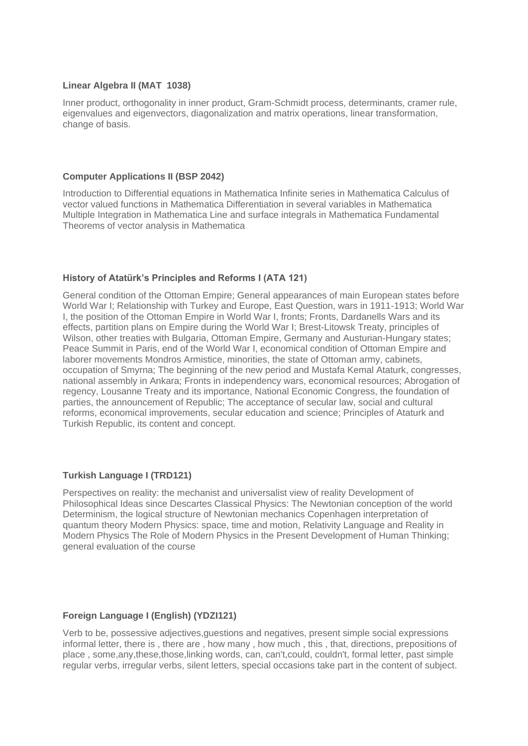# **Linear Algebra II (MAT 1038)**

Inner product, orthogonality in inner product, Gram-Schmidt process, determinants, cramer rule, eigenvalues and eigenvectors, diagonalization and matrix operations, linear transformation, change of basis.

#### **Computer Applications II (BSP 2042)**

Introduction to Differential equations in Mathematica Infinite series in Mathematica Calculus of vector valued functions in Mathematica Differentiation in several variables in Mathematica Multiple Integration in Mathematica Line and surface integrals in Mathematica Fundamental Theorems of vector analysis in Mathematica

# **History of Atatürk's Principles and Reforms I (ATA 121)**

General condition of the Ottoman Empire; General appearances of main European states before World War I; Relationship with Turkey and Europe, East Question, wars in 1911-1913; World War I, the position of the Ottoman Empire in World War I, fronts; Fronts, Dardanells Wars and its effects, partition plans on Empire during the World War I; Brest-Litowsk Treaty, principles of Wilson, other treaties with Bulgaria, Ottoman Empire, Germany and Austurian-Hungary states; Peace Summit in Paris, end of the World War I, economical condition of Ottoman Empire and laborer movements Mondros Armistice, minorities, the state of Ottoman army, cabinets, occupation of Smyrna; The beginning of the new period and Mustafa Kemal Ataturk, congresses, national assembly in Ankara; Fronts in independency wars, economical resources; Abrogation of regency, Lousanne Treaty and its importance, National Economic Congress, the foundation of parties, the announcement of Republic; The acceptance of secular law, social and cultural reforms, economical improvements, secular education and science; Principles of Ataturk and Turkish Republic, its content and concept.

# **Turkish Language I (TRD121)**

Perspectives on reality: the mechanist and universalist view of reality Development of Philosophical Ideas since Descartes Classical Physics: The Newtonian conception of the world Determinism, the logical structure of Newtonian mechanics Copenhagen interpretation of quantum theory Modern Physics: space, time and motion, Relativity Language and Reality in Modern Physics The Role of Modern Physics in the Present Development of Human Thinking; general evaluation of the course

#### **Foreign Language I (English) (YDZI121)**

Verb to be, possessive adjectives,guestions and negatives, present simple social expressions informal letter, there is , there are , how many , how much , this , that, directions, prepositions of place , some,any,these,those,linking words, can, can't,could, couldn't, formal letter, past simple regular verbs, irregular verbs, silent letters, special occasions take part in the content of subject.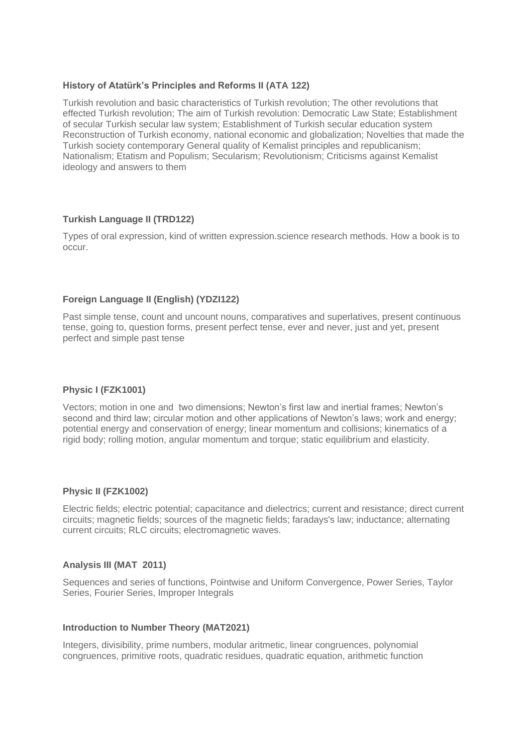# **History of Atatürk's Principles and Reforms II (ATA 122)**

Turkish revolution and basic characteristics of Turkish revolution; The other revolutions that effected Turkish revolution; The aim of Turkish revolution: Democratic Law State; Establishment of secular Turkish secular law system; Establishment of Turkish secular education system Reconstruction of Turkish economy, national economic and globalization; Novelties that made the Turkish society contemporary General quality of Kemalist principles and republicanism; Nationalism; Etatism and Populism; Secularism; Revolutionism; Criticisms against Kemalist ideology and answers to them

# **Turkish Language II (TRD122)**

Types of oral expression, kind of written expression.science research methods. How a book is to occur.

# **Foreign Language II (English) (YDZI122)**

Past simple tense, count and uncount nouns, comparatives and superlatives, present continuous tense, going to, question forms, present perfect tense, ever and never, just and yet, present perfect and simple past tense

# **Physic I (FZK1001)**

Vectors; motion in one and two dimensions; Newton's first law and inertial frames; Newton's second and third law; circular motion and other applications of Newton's laws; work and energy; potential energy and conservation of energy; linear momentum and collisions; kinematics of a rigid body; rolling motion, angular momentum and torque; static equilibrium and elasticity.

# **Physic II (FZK1002)**

Electric fields; electric potential; capacitance and dielectrics; current and resistance; direct current circuits; magnetic fields; sources of the magnetic fields; faradays's law; inductance; alternating current circuits; RLC circuits; electromagnetic waves.

# **Analysis III (MAT 2011)**

Sequences and series of functions, Pointwise and Uniform Convergence, Power Series, Taylor Series, Fourier Series, Improper Integrals

# **Introduction to Number Theory (MAT2021)**

Integers, divisibility, prime numbers, modular aritmetic, linear congruences, polynomial congruences, primitive roots, quadratic residues, quadratic equation, arithmetic function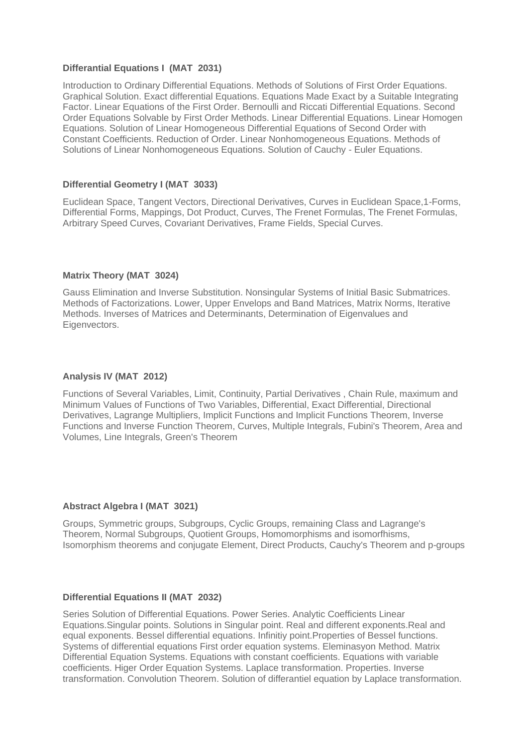# **Differantial Equations I (MAT 2031)**

Introduction to Ordinary Differential Equations. Methods of Solutions of First Order Equations. Graphical Solution. Exact differential Equations. Equations Made Exact by a Suitable Integrating Factor. Linear Equations of the First Order. Bernoulli and Riccati Differential Equations. Second Order Equations Solvable by First Order Methods. Linear Differential Equations. Linear Homogen Equations. Solution of Linear Homogeneous Differential Equations of Second Order with Constant Coefficients. Reduction of Order. Linear Nonhomogeneous Equations. Methods of Solutions of Linear Nonhomogeneous Equations. Solution of Cauchy - Euler Equations.

# **Differential Geometry I (MAT 3033)**

Euclidean Space, Tangent Vectors, Directional Derivatives, Curves in Euclidean Space,1-Forms, Differential Forms, Mappings, Dot Product, Curves, The Frenet Formulas, The Frenet Formulas, Arbitrary Speed Curves, Covariant Derivatives, Frame Fields, Special Curves.

#### **Matrix Theory (MAT 3024)**

Gauss Elimination and Inverse Substitution. Nonsingular Systems of Initial Basic Submatrices. Methods of Factorizations. Lower, Upper Envelops and Band Matrices, Matrix Norms, Iterative Methods. Inverses of Matrices and Determinants, Determination of Eigenvalues and Eigenvectors.

# **Analysis IV (MAT 2012)**

Functions of Several Variables, Limit, Continuity, Partial Derivatives , Chain Rule, maximum and Minimum Values of Functions of Two Variables, Differential, Exact Differential, Directional Derivatives, Lagrange Multipliers, Implicit Functions and Implicit Functions Theorem, Inverse Functions and Inverse Function Theorem, Curves, Multiple Integrals, Fubini's Theorem, Area and Volumes, Line Integrals, Green's Theorem

#### **Abstract Algebra I (MAT 3021)**

Groups, Symmetric groups, Subgroups, Cyclic Groups, remaining Class and Lagrange's Theorem, Normal Subgroups, Quotient Groups, Homomorphisms and isomorfhisms, Isomorphism theorems and conjugate Element, Direct Products, Cauchy's Theorem and p-groups

#### **Differential Equations II (MAT 2032)**

Series Solution of Differential Equations. Power Series. Analytic Coefficients Linear Equations.Singular points. Solutions in Singular point. Real and different exponents.Real and equal exponents. Bessel differential equations. Infinitiy point.Properties of Bessel functions. Systems of differential equations First order equation systems. Eleminasyon Method. Matrix Differential Equation Systems. Equations with constant coefficients. Equations with variable coefficients. Higer Order Equation Systems. Laplace transformation. Properties. Inverse transformation. Convolution Theorem. Solution of differantiel equation by Laplace transformation.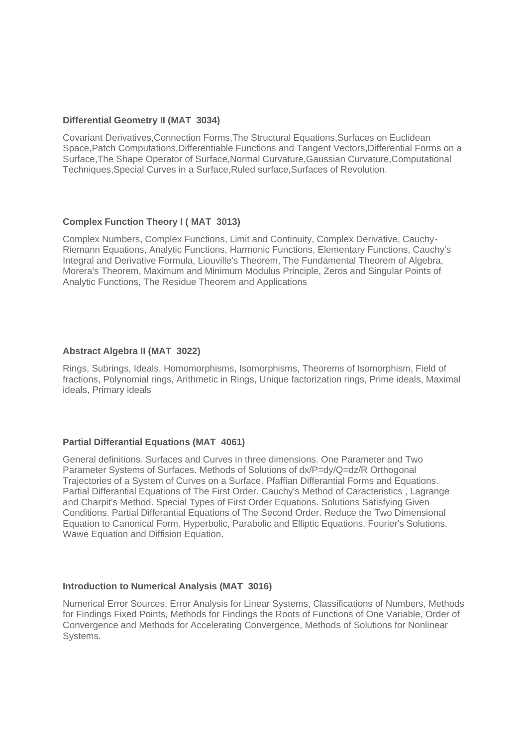# **Differential Geometry II (MAT 3034)**

Covariant Derivatives,Connection Forms,The Structural Equations,Surfaces on Euclidean Space,Patch Computations,Differentiable Functions and Tangent Vectors,Differential Forms on a Surface,The Shape Operator of Surface,Normal Curvature,Gaussian Curvature,Computational Techniques,Special Curves in a Surface,Ruled surface,Surfaces of Revolution.

# **Complex Function Theory I ( MAT 3013)**

Complex Numbers, Complex Functions, Limit and Continuity, Complex Derivative, Cauchy-Riemann Equations, Analytic Functions, Harmonic Functions, Elementary Functions, Cauchy's Integral and Derivative Formula, Liouville's Theorem, The Fundamental Theorem of Algebra, Morera's Theorem, Maximum and Minimum Modulus Principle, Zeros and Singular Points of Analytic Functions, The Residue Theorem and Applications

# **Abstract Algebra II (MAT 3022)**

Rings, Subrings, Ideals, Homomorphisms, Isomorphisms, Theorems of Isomorphism, Field of fractions, Polynomial rings, Arithmetic in Rings, Unique factorization rings, Prime ideals, Maximal ideals, Primary ideals

# **Partial Differantial Equations (MAT 4061)**

General definitions. Surfaces and Curves in three dimensions. One Parameter and Two Parameter Systems of Surfaces. Methods of Solutions of dx/P=dy/Q=dz/R Orthogonal Trajectories of a System of Curves on a Surface. Pfaffian Differantial Forms and Equations. Partial Differantial Equations of The First Order. Cauchy's Method of Caracteristics , Lagrange and Charpit's Method. Special Types of First Order Equations. Solutions Satisfying Given Conditions. Partial Differantial Equations of The Second Order. Reduce the Two Dimensional Equation to Canonical Form. Hyperbolic, Parabolic and Elliptic Equations. Fourier's Solutions. Wawe Equation and Diffision Equation.

# **Introduction to Numerical Analysis (MAT 3016)**

Numerical Error Sources, Error Analysis for Linear Systems, Classifications of Numbers, Methods for Findings Fixed Points, Methods for Findings the Roots of Functions of One Variable, Order of Convergence and Methods for Accelerating Convergence, Methods of Solutions for Nonlinear Systems.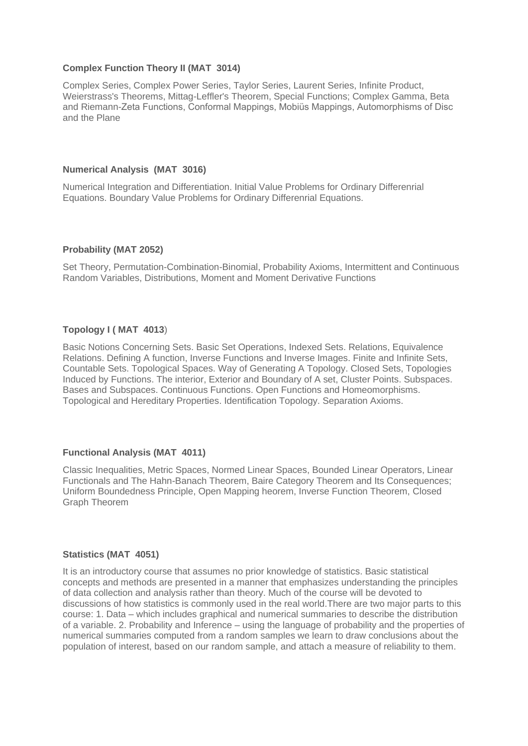# **Complex Function Theory II (MAT 3014)**

Complex Series, Complex Power Series, Taylor Series, Laurent Series, Infinite Product, Weierstrass's Theorems, Mittag-Leffler's Theorem, Special Functions; Complex Gamma, Beta and Riemann-Zeta Functions, Conformal Mappings, Mobiüs Mappings, Automorphisms of Disc and the Plane

# **Numerical Analysis (MAT 3016)**

Numerical Integration and Differentiation. Initial Value Problems for Ordinary Differenrial Equations. Boundary Value Problems for Ordinary Differenrial Equations.

#### **Probability (MAT 2052)**

Set Theory, Permutation-Combination-Binomial, Probability Axioms, Intermittent and Continuous Random Variables, Distributions, Moment and Moment Derivative Functions

#### **Topology I ( MAT 4013**)

Basic Notions Concerning Sets. Basic Set Operations, Indexed Sets. Relations, Equivalence Relations. Defining A function, Inverse Functions and Inverse Images. Finite and Infinite Sets, Countable Sets. Topological Spaces. Way of Generating A Topology. Closed Sets, Topologies Induced by Functions. The interior, Exterior and Boundary of A set, Cluster Points. Subspaces. Bases and Subspaces. Continuous Functions. Open Functions and Homeomorphisms. Topological and Hereditary Properties. Identification Topology. Separation Axioms.

# **Functional Analysis (MAT 4011)**

Classic Inequalities, Metric Spaces, Normed Linear Spaces, Bounded Linear Operators, Linear Functionals and The Hahn-Banach Theorem, Baire Category Theorem and Its Consequences; Uniform Boundedness Principle, Open Mapping heorem, Inverse Function Theorem, Closed Graph Theorem

# **Statistics (MAT 4051)**

It is an introductory course that assumes no prior knowledge of statistics. Basic statistical concepts and methods are presented in a manner that emphasizes understanding the principles of data collection and analysis rather than theory. Much of the course will be devoted to discussions of how statistics is commonly used in the real world.There are two major parts to this course: 1. Data – which includes graphical and numerical summaries to describe the distribution of a variable. 2. Probability and Inference – using the language of probability and the properties of numerical summaries computed from a random samples we learn to draw conclusions about the population of interest, based on our random sample, and attach a measure of reliability to them.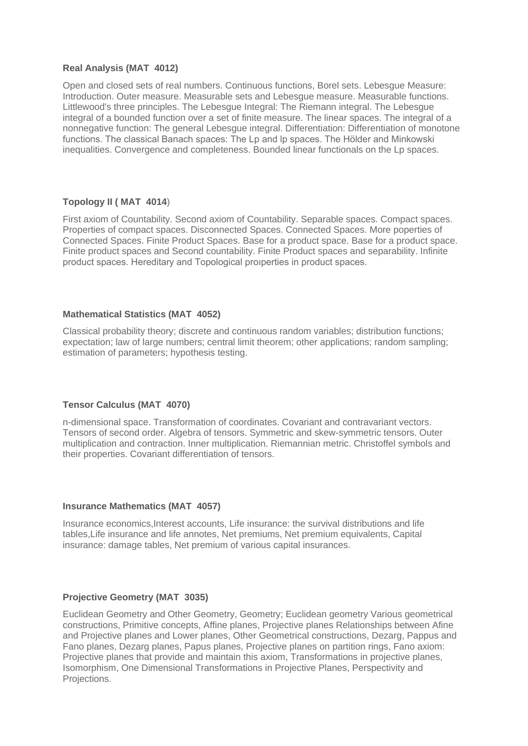# **Real Analysis (MAT 4012)**

Open and closed sets of real numbers. Continuous functions, Borel sets. Lebesgue Measure: Introduction. Outer measure. Measurable sets and Lebesgue measure. Measurable functions. Littlewood's three principles. The Lebesgue Integral: The Riemann integral. The Lebesgue integral of a bounded function over a set of finite measure. The linear spaces. The integral of a nonnegative function: The general Lebesgue integral. Differentiation: Differentiation of monotone functions. The classical Banach spaces: The Lp and lp spaces. The Hölder and Minkowski inequalities. Convergence and completeness. Bounded linear functionals on the Lp spaces.

# **Topology II ( MAT 4014**)

First axiom of Countability. Second axiom of Countability. Separable spaces. Compact spaces. Properties of compact spaces. Disconnected Spaces. Connected Spaces. More poperties of Connected Spaces. Finite Product Spaces. Base for a product space. Base for a product space. Finite product spaces and Second countability. Finite Product spaces and separability. Infinite product spaces. Hereditary and Topological proıperties in product spaces.

# **Mathematical Statistics (MAT 4052)**

Classical probability theory; discrete and continuous random variables; distribution functions; expectation; law of large numbers; central limit theorem; other applications; random sampling; estimation of parameters; hypothesis testing.

# **Tensor Calculus (MAT 4070)**

n-dimensional space. Transformation of coordinates. Covariant and contravariant vectors. Tensors of second order. Algebra of tensors. Symmetric and skew-symmetric tensors. Outer multiplication and contraction. Inner multiplication. Riemannian metric. Christoffel symbols and their properties. Covariant differentiation of tensors.

# **Insurance Mathematics (MAT 4057)**

Insurance economics,Interest accounts, Life insurance: the survival distributions and life tables,Life insurance and life annotes, Net premiums, Net premium equivalents, Capital insurance: damage tables, Net premium of various capital insurances.

# **Projective Geometry (MAT 3035)**

Euclidean Geometry and Other Geometry, Geometry; Euclidean geometry Various geometrical constructions, Primitive concepts, Affine planes, Projective planes Relationships between Afine and Projective planes and Lower planes, Other Geometrical constructions, Dezarg, Pappus and Fano planes, Dezarg planes, Papus planes, Projective planes on partition rings, Fano axiom: Projective planes that provide and maintain this axiom, Transformations in projective planes, Isomorphism, One Dimensional Transformations in Projective Planes, Perspectivity and Projections.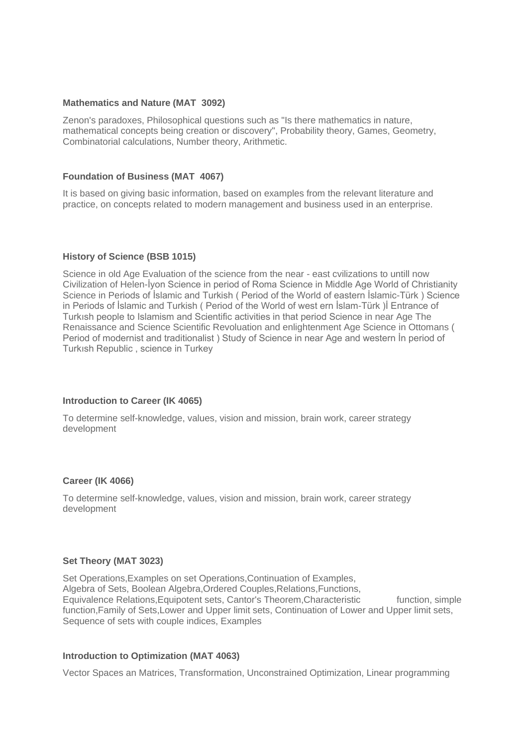#### **Mathematics and Nature (MAT 3092)**

Zenon's paradoxes, Philosophical questions such as "Is there mathematics in nature, mathematical concepts being creation or discovery", Probability theory, Games, Geometry, Combinatorial calculations, Number theory, Arithmetic.

# **Foundation of Business (MAT 4067)**

It is based on giving basic information, based on examples from the relevant literature and practice, on concepts related to modern management and business used in an enterprise.

# **History of Science (BSB 1015)**

Science in old Age Evaluation of the science from the near - east cvilizations to untill now Civilization of Helen-İyon Science in period of Roma Science in Middle Age World of Christianity Science in Periods of İslamic and Turkish ( Period of the World of eastern İslamic-Türk ) Science in Periods of İslamic and Turkish ( Period of the World of west ern İslam-Türk )İ Entrance of Turkısh people to Islamism and Scientific activities in that period Science in near Age The Renaissance and Science Scientific Revoluation and enlightenment Age Science in Ottomans ( Period of modernist and traditionalist ) Study of Science in near Age and western İn period of Turkısh Republic , science in Turkey

# **Introduction to Career (IK 4065)**

To determine self-knowledge, values, vision and mission, brain work, career strategy development

# **Career (IK 4066)**

To determine self-knowledge, values, vision and mission, brain work, career strategy development

# **Set Theory (MAT 3023)**

Set Operations,Examples on set Operations,Continuation of Examples, Algebra of Sets, Boolean Algebra, Ordered Couples, Relations, Functions, Equivalence Relations, Equipotent sets, Cantor's Theorem, Characteristic function, simple function,Family of Sets,Lower and Upper limit sets, Continuation of Lower and Upper limit sets, Sequence of sets with couple indices, Examples

# **Introduction to Optimization (MAT 4063)**

Vector Spaces an Matrices, Transformation, Unconstrained Optimization, Linear programming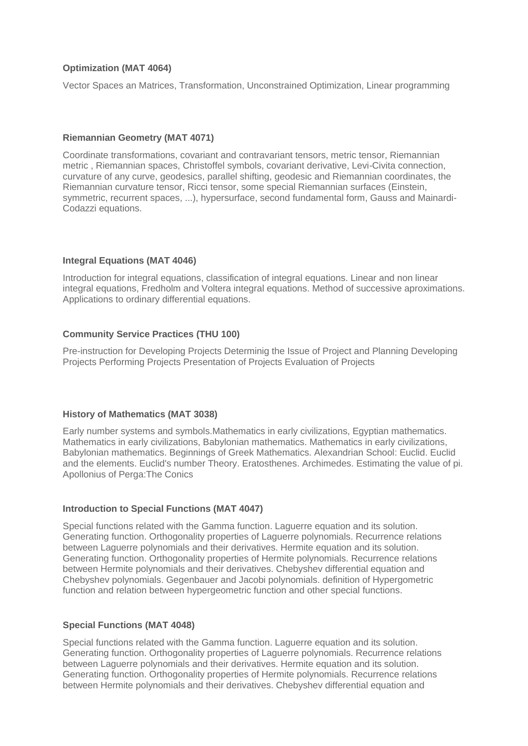# **Optimization (MAT 4064)**

Vector Spaces an Matrices, Transformation, Unconstrained Optimization, Linear programming

# **Riemannian Geometry (MAT 4071)**

Coordinate transformations, covariant and contravariant tensors, metric tensor, Riemannian metric , Riemannian spaces, Christoffel symbols, covariant derivative, Levi-Civita connection, curvature of any curve, geodesics, parallel shifting, geodesic and Riemannian coordinates, the Riemannian curvature tensor, Ricci tensor, some special Riemannian surfaces (Einstein, symmetric, recurrent spaces, ...), hypersurface, second fundamental form, Gauss and Mainardi-Codazzi equations.

# **Integral Equations (MAT 4046)**

Introduction for integral equations, classification of integral equations. Linear and non linear integral equations, Fredholm and Voltera integral equations. Method of successive aproximations. Applications to ordinary differential equations.

# **Community Service Practices (THU 100)**

Pre-instruction for Developing Projects Determinig the Issue of Project and Planning Developing Projects Performing Projects Presentation of Projects Evaluation of Projects

# **History of Mathematics (MAT 3038)**

Early number systems and symbols.Mathematics in early civilizations, Egyptian mathematics. Mathematics in early civilizations, Babylonian mathematics. Mathematics in early civilizations, Babylonian mathematics. Beginnings of Greek Mathematics. Alexandrian School: Euclid. Euclid and the elements. Euclid's number Theory. Eratosthenes. Archimedes. Estimating the value of pi. Apollonius of Perga:The Conics

# **Introduction to Special Functions (MAT 4047)**

Special functions related with the Gamma function. Laguerre equation and its solution. Generating function. Orthogonality properties of Laguerre polynomials. Recurrence relations between Laguerre polynomials and their derivatives. Hermite equation and its solution. Generating function. Orthogonality properties of Hermite polynomials. Recurrence relations between Hermite polynomials and their derivatives. Chebyshev differential equation and Chebyshev polynomials. Gegenbauer and Jacobi polynomials. definition of Hypergometric function and relation between hypergeometric function and other special functions.

# **Special Functions (MAT 4048)**

Special functions related with the Gamma function. Laguerre equation and its solution. Generating function. Orthogonality properties of Laguerre polynomials. Recurrence relations between Laguerre polynomials and their derivatives. Hermite equation and its solution. Generating function. Orthogonality properties of Hermite polynomials. Recurrence relations between Hermite polynomials and their derivatives. Chebyshev differential equation and